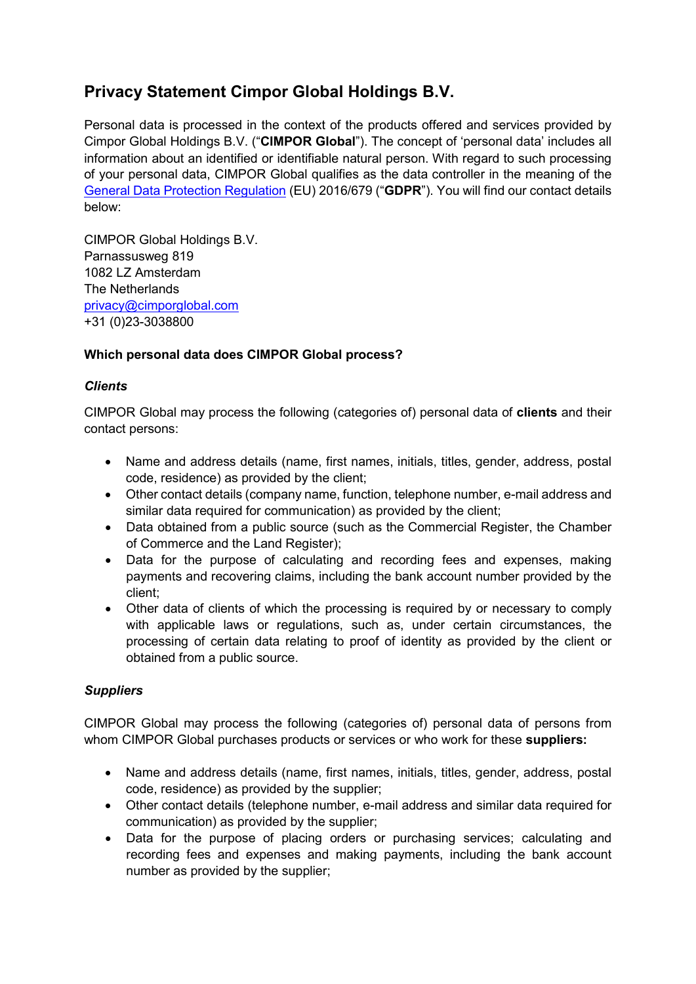# **Privacy Statement Cimpor Global Holdings B.V.**

Personal data is processed in the context of the products offered and services provided by Cimpor Global Holdings B.V. ("**CIMPOR Global**"). The concept of 'personal data' includes all information about an identified or identifiable natural person. With regard to such processing of your personal data, CIMPOR Global qualifies as the data controller in the meaning of the [General Data Protection Regulation](https://eur-lex.europa.eu/legal-content/EN/TXT/HTML/?uri=CELEX:32016R0679&from=EN) (EU) 2016/679 ("**GDPR**"). You will find our contact details below:

CIMPOR Global Holdings B.V. Parnassusweg 819 1082 LZ Amsterdam The Netherlands [privacy@cimporglobal.com](mailto:privacy@cimporglobal.com) +31 (0)23-3038800

# **Which personal data does CIMPOR Global process?**

## *Clients*

CIMPOR Global may process the following (categories of) personal data of **clients** and their contact persons:

- Name and address details (name, first names, initials, titles, gender, address, postal code, residence) as provided by the client;
- Other contact details (company name, function, telephone number, e-mail address and similar data required for communication) as provided by the client;
- Data obtained from a public source (such as the Commercial Register, the Chamber of Commerce and the Land Register);
- Data for the purpose of calculating and recording fees and expenses, making payments and recovering claims, including the bank account number provided by the client;
- Other data of clients of which the processing is required by or necessary to comply with applicable laws or regulations, such as, under certain circumstances, the processing of certain data relating to proof of identity as provided by the client or obtained from a public source.

# *Suppliers*

CIMPOR Global may process the following (categories of) personal data of persons from whom CIMPOR Global purchases products or services or who work for these **suppliers:**

- Name and address details (name, first names, initials, titles, gender, address, postal code, residence) as provided by the supplier;
- Other contact details (telephone number, e-mail address and similar data required for communication) as provided by the supplier;
- Data for the purpose of placing orders or purchasing services; calculating and recording fees and expenses and making payments, including the bank account number as provided by the supplier;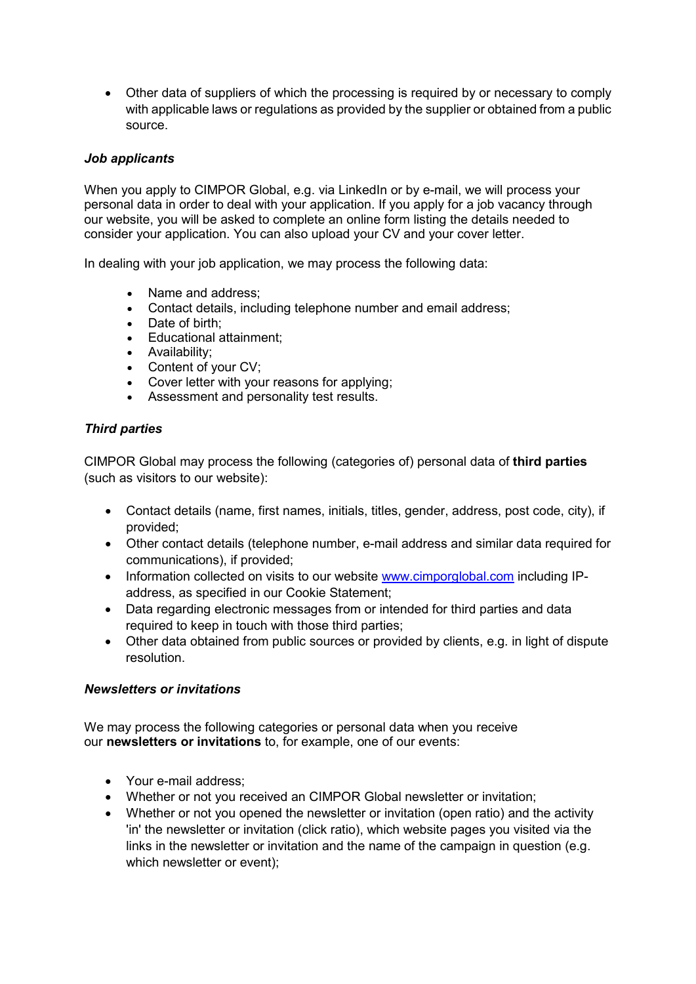• Other data of suppliers of which the processing is required by or necessary to comply with applicable laws or regulations as provided by the supplier or obtained from a public source.

## *Job applicants*

When you apply to CIMPOR Global, e.g. via LinkedIn or by e-mail, we will process your personal data in order to deal with your application. If you apply for a job vacancy through our website, you will be asked to complete an online form listing the details needed to consider your application. You can also upload your CV and your cover letter.

In dealing with your job application, we may process the following data:

- Name and address:
- Contact details, including telephone number and email address;
- Date of birth;
- Educational attainment;
- Availability;
- Content of your CV;
- Cover letter with your reasons for applying;
- Assessment and personality test results.

## *Third parties*

CIMPOR Global may process the following (categories of) personal data of **third parties** (such as visitors to our website):

- Contact details (name, first names, initials, titles, gender, address, post code, city), if provided;
- Other contact details (telephone number, e-mail address and similar data required for communications), if provided;
- Information collected on visits to our website [www.cimporglobal.com](http://www.cimporglobal.com/) including IPaddress, as specified in our Cookie Statement;
- Data regarding electronic messages from or intended for third parties and data required to keep in touch with those third parties;
- Other data obtained from public sources or provided by clients, e.g. in light of dispute resolution.

### *Newsletters or invitations*

We may process the following categories or personal data when you receive our **newsletters or invitations** to, for example, one of our events:

- Your e-mail address;
- Whether or not you received an CIMPOR Global newsletter or invitation;
- Whether or not you opened the newsletter or invitation (open ratio) and the activity 'in' the newsletter or invitation (click ratio), which website pages you visited via the links in the newsletter or invitation and the name of the campaign in question (e.g. which newsletter or event);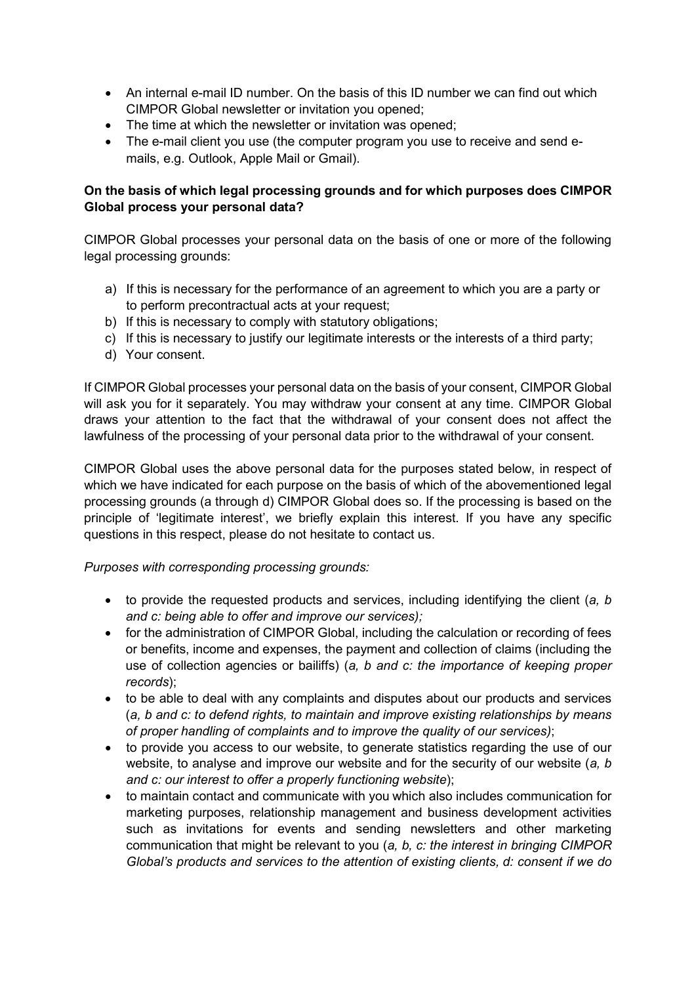- An internal e-mail ID number. On the basis of this ID number we can find out which CIMPOR Global newsletter or invitation you opened;
- The time at which the newsletter or invitation was opened;
- The e-mail client you use (the computer program you use to receive and send emails, e.g. Outlook, Apple Mail or Gmail).

# **On the basis of which legal processing grounds and for which purposes does CIMPOR Global process your personal data?**

CIMPOR Global processes your personal data on the basis of one or more of the following legal processing grounds:

- a) If this is necessary for the performance of an agreement to which you are a party or to perform precontractual acts at your request;
- b) If this is necessary to comply with statutory obligations;
- c) If this is necessary to justify our legitimate interests or the interests of a third party;
- d) Your consent.

If CIMPOR Global processes your personal data on the basis of your consent, CIMPOR Global will ask you for it separately. You may withdraw your consent at any time. CIMPOR Global draws your attention to the fact that the withdrawal of your consent does not affect the lawfulness of the processing of your personal data prior to the withdrawal of your consent.

CIMPOR Global uses the above personal data for the purposes stated below, in respect of which we have indicated for each purpose on the basis of which of the abovementioned legal processing grounds (a through d) CIMPOR Global does so. If the processing is based on the principle of 'legitimate interest', we briefly explain this interest. If you have any specific questions in this respect, please do not hesitate to contact us.

# *Purposes with corresponding processing grounds:*

- to provide the requested products and services, including identifying the client (*a, b and c: being able to offer and improve our services);*
- for the administration of CIMPOR Global, including the calculation or recording of fees or benefits, income and expenses, the payment and collection of claims (including the use of collection agencies or bailiffs) (*a, b and c: the importance of keeping proper records*);
- to be able to deal with any complaints and disputes about our products and services (*a, b and c: to defend rights, to maintain and improve existing relationships by means of proper handling of complaints and to improve the quality of our services)*;
- to provide you access to our website, to generate statistics regarding the use of our website, to analyse and improve our website and for the security of our website (*a, b and c: our interest to offer a properly functioning website*);
- to maintain contact and communicate with you which also includes communication for marketing purposes, relationship management and business development activities such as invitations for events and sending newsletters and other marketing communication that might be relevant to you (*a, b, c: the interest in bringing CIMPOR Global's products and services to the attention of existing clients, d: consent if we do*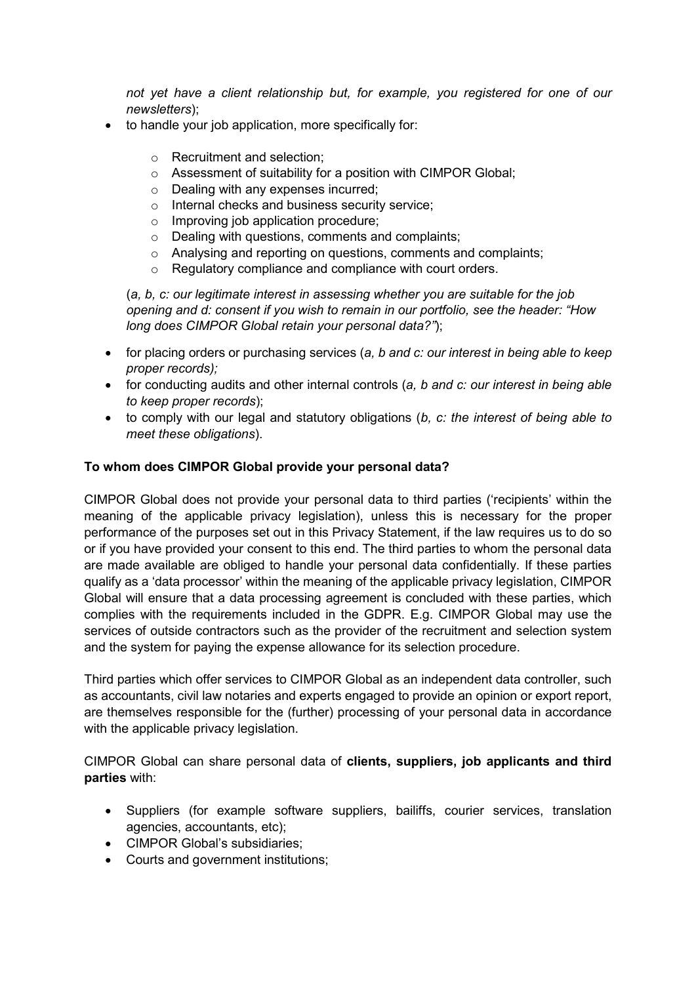*not yet have a client relationship but, for example, you registered for one of our newsletters*);

- to handle your job application, more specifically for:
	- o Recruitment and selection;
	- o Assessment of suitability for a position with CIMPOR Global;
	- o Dealing with any expenses incurred;
	- o Internal checks and business security service;
	- o Improving job application procedure;
	- o Dealing with questions, comments and complaints;
	- o Analysing and reporting on questions, comments and complaints;
	- o Regulatory compliance and compliance with court orders.

(*a, b, c: our legitimate interest in assessing whether you are suitable for the job opening and d: consent if you wish to remain in our portfolio, see the header: "How long does CIMPOR Global retain your personal data?"*);

- for placing orders or purchasing services (*a, b and c: our interest in being able to keep proper records);*
- for conducting audits and other internal controls (*a, b and c: our interest in being able to keep proper records*);
- to comply with our legal and statutory obligations (*b, c: the interest of being able to meet these obligations*).

## **To whom does CIMPOR Global provide your personal data?**

CIMPOR Global does not provide your personal data to third parties ('recipients' within the meaning of the applicable privacy legislation), unless this is necessary for the proper performance of the purposes set out in this Privacy Statement, if the law requires us to do so or if you have provided your consent to this end. The third parties to whom the personal data are made available are obliged to handle your personal data confidentially. If these parties qualify as a 'data processor' within the meaning of the applicable privacy legislation, CIMPOR Global will ensure that a data processing agreement is concluded with these parties, which complies with the requirements included in the GDPR. E.g. CIMPOR Global may use the services of outside contractors such as the provider of the recruitment and selection system and the system for paying the expense allowance for its selection procedure.

Third parties which offer services to CIMPOR Global as an independent data controller, such as accountants, civil law notaries and experts engaged to provide an opinion or export report, are themselves responsible for the (further) processing of your personal data in accordance with the applicable privacy legislation.

CIMPOR Global can share personal data of **clients, suppliers, job applicants and third parties** with:

- Suppliers (for example software suppliers, bailiffs, courier services, translation agencies, accountants, etc);
- CIMPOR Global's subsidiaries;
- Courts and government institutions;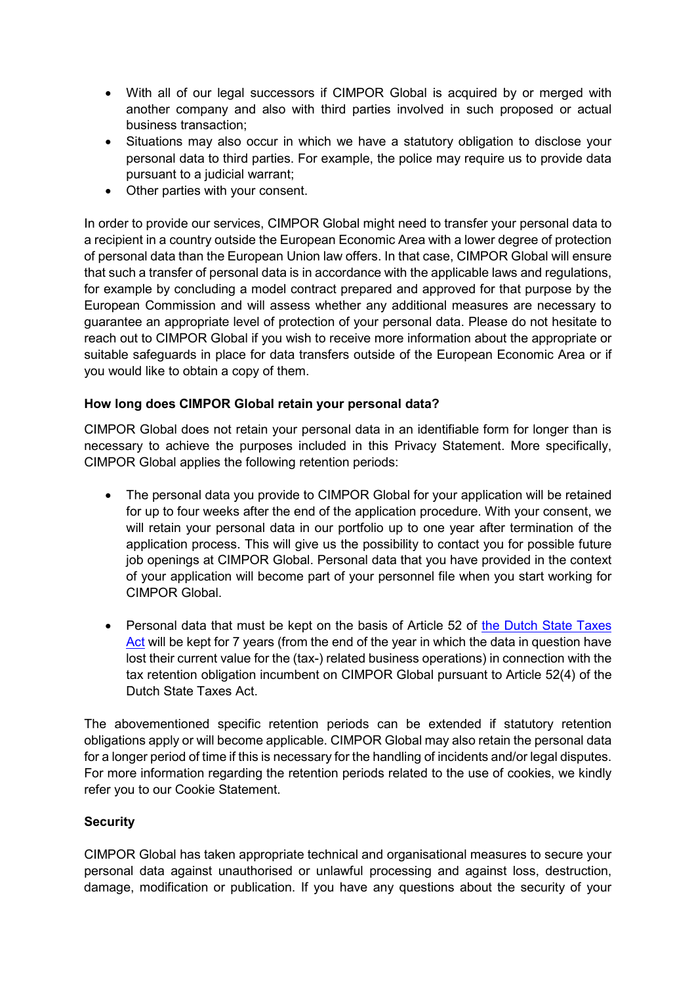- With all of our legal successors if CIMPOR Global is acquired by or merged with another company and also with third parties involved in such proposed or actual business transaction;
- Situations may also occur in which we have a statutory obligation to disclose your personal data to third parties. For example, the police may require us to provide data pursuant to a judicial warrant;
- Other parties with your consent.

In order to provide our services, CIMPOR Global might need to transfer your personal data to a recipient in a country outside the European Economic Area with a lower degree of protection of personal data than the European Union law offers. In that case, CIMPOR Global will ensure that such a transfer of personal data is in accordance with the applicable laws and regulations, for example by concluding a model contract prepared and approved for that purpose by the European Commission and will assess whether any additional measures are necessary to guarantee an appropriate level of protection of your personal data. Please do not hesitate to reach out to CIMPOR Global if you wish to receive more information about the appropriate or suitable safeguards in place for data transfers outside of the European Economic Area or if you would like to obtain a copy of them.

## **How long does CIMPOR Global retain your personal data?**

CIMPOR Global does not retain your personal data in an identifiable form for longer than is necessary to achieve the purposes included in this Privacy Statement. More specifically, CIMPOR Global applies the following retention periods:

- The personal data you provide to CIMPOR Global for your application will be retained for up to four weeks after the end of the application procedure. With your consent, we will retain your personal data in our portfolio up to one year after termination of the application process. This will give us the possibility to contact you for possible future job openings at CIMPOR Global. Personal data that you have provided in the context of your application will become part of your personnel file when you start working for CIMPOR Global.
- Personal data that must be kept on the basis of Article 52 of the Dutch State Taxes [Act](https://wetten.overheid.nl/BWBR0002320/2020-01-01) will be kept for 7 years (from the end of the year in which the data in question have lost their current value for the (tax-) related business operations) in connection with the tax retention obligation incumbent on CIMPOR Global pursuant to Article 52(4) of the Dutch State Taxes Act.

The abovementioned specific retention periods can be extended if statutory retention obligations apply or will become applicable. CIMPOR Global may also retain the personal data for a longer period of time if this is necessary for the handling of incidents and/or legal disputes. For more information regarding the retention periods related to the use of cookies, we kindly refer you to our Cookie Statement.

### **Security**

CIMPOR Global has taken appropriate technical and organisational measures to secure your personal data against unauthorised or unlawful processing and against loss, destruction, damage, modification or publication. If you have any questions about the security of your